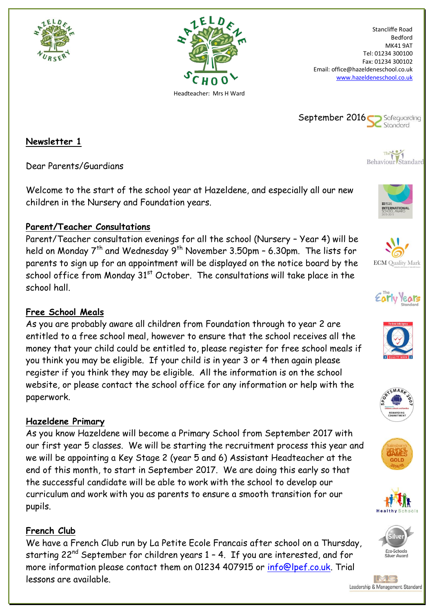



Stancliffe Road Bedford MK41 9AT Tel: 01234 300100 Fax: 01234 300102 Email: office@hazeldeneschool.co.uk [www.hazeldeneschool.co.uk](http://www.hazeldeneschool.co.uk/)









# **ECM** Quality Mark













**Newsletter 1**

Dear Parents/Guardians

Welcome to the start of the school year at Hazeldene, and especially all our new children in the Nursery and Foundation years.

#### **Parent/Teacher Consultations**

Parent/Teacher consultation evenings for all the school (Nursery – Year 4) will be held on Monday  $7<sup>th</sup>$  and Wednesday 9<sup>th</sup> November 3.50pm – 6.30pm. The lists for parents to sign up for an appointment will be displayed on the notice board by the school office from Monday  $31<sup>st</sup>$  October. The consultations will take place in the school hall.

## **Free School Meals**

As you are probably aware all children from Foundation through to year 2 are entitled to a free school meal, however to ensure that the school receives all the money that your child could be entitled to, please register for free school meals if you think you may be eligible. If your child is in year 3 or 4 then again please register if you think they may be eligible. All the information is on the school website, or please contact the school office for any information or help with the paperwork.

## **Hazeldene Primary**

As you know Hazeldene will become a Primary School from September 2017 with our first year 5 classes. We will be starting the recruitment process this year and we will be appointing a Key Stage 2 (year 5 and 6) Assistant Headteacher at the end of this month, to start in September 2017. We are doing this early so that the successful candidate will be able to work with the school to develop our curriculum and work with you as parents to ensure a smooth transition for our pupils.

## **French Club**

We have a French Club run by La Petite Ecole Francais after school on a Thursday, starting  $22^{nd}$  September for children years  $1 - 4$ . If you are interested, and for more information please contact them on 01234 407915 or [info@lpef.co.uk.](mailto:info@lpef.co.uk) Trial lessons are available.